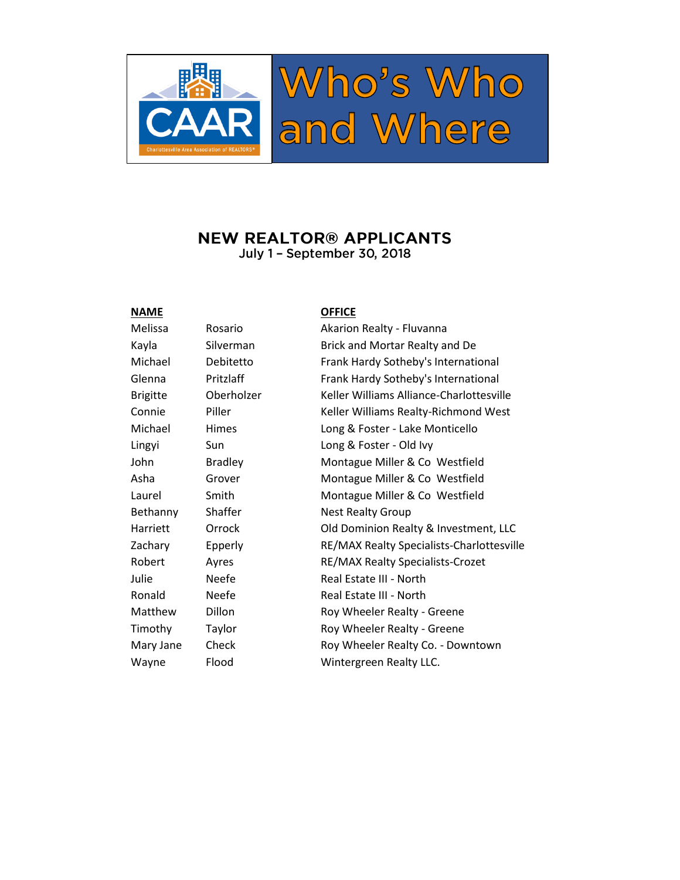

## **NEW REALTOR® APPLICANTS** July 1 - September 30, 2018

Bethanny Shaffer Nest Realty Group

### **NAME OFFICE**

Melissa Rosario Akarion Realty - Fluvanna Kayla Silverman Brick and Mortar Realty and De Michael Debitetto Frank Hardy Sotheby's International Glenna Pritzlaff Frank Hardy Sotheby's International Brigitte Oberholzer Keller Williams Alliance-Charlottesville Connie Piller Filler Keller Williams Realty-Richmond West Michael Himes Long & Foster - Lake Monticello Lingyi Sun Long & Foster - Old Ivy John Bradley Montague Miller & Co Westfield Asha Grover Montague Miller & Co Westfield Laurel Smith Montague Miller & Co Westfield Harriett Orrock Old Dominion Realty & Investment, LLC Zachary Epperly RE/MAX Realty Specialists-Charlottesville Robert Ayres RE/MAX Realty Specialists-Crozet Julie Neefe Real Estate III - North Ronald Neefe Real Estate III - North Matthew Dillon Roy Wheeler Realty - Greene Timothy Taylor Roy Wheeler Realty - Greene Mary Jane Check Roy Wheeler Realty Co. - Downtown Wayne Flood Wintergreen Realty LLC.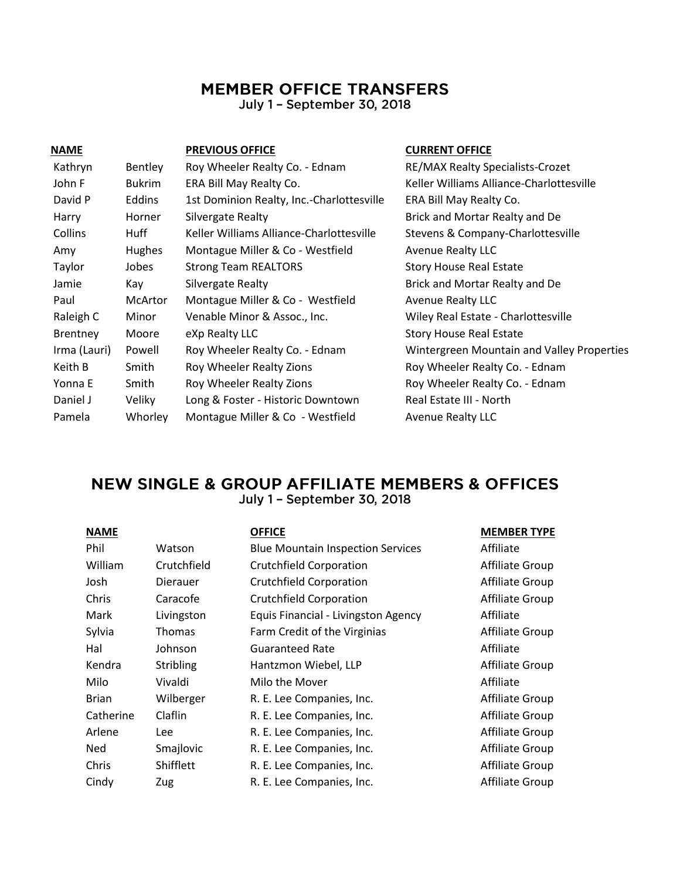# **MEMBER OFFICE TRANSFERS**

July 1 - September 30, 2018

| <b>NAME</b>     |                | <b>PREVIOUS OFFICE</b>                    | <b>CURRENT OFFICE</b>                      |
|-----------------|----------------|-------------------------------------------|--------------------------------------------|
| Kathryn         | Bentley        | Roy Wheeler Realty Co. - Ednam            | RE/MAX Realty Specialists-Crozet           |
| John F          | <b>Bukrim</b>  | ERA Bill May Realty Co.                   | Keller Williams Alliance-Charlottesville   |
| David P         | Eddins         | 1st Dominion Realty, Inc.-Charlottesville | ERA Bill May Realty Co.                    |
| Harry           | Horner         | Silvergate Realty                         | Brick and Mortar Realty and De             |
| Collins         | Huff           | Keller Williams Alliance-Charlottesville  | Stevens & Company-Charlottesville          |
| Amy             | <b>Hughes</b>  | Montague Miller & Co - Westfield          | <b>Avenue Realty LLC</b>                   |
| Taylor          | Jobes          | <b>Strong Team REALTORS</b>               | <b>Story House Real Estate</b>             |
| Jamie           | Kay            | Silvergate Realty                         | Brick and Mortar Realty and De             |
| Paul            | <b>McArtor</b> | Montague Miller & Co - Westfield          | <b>Avenue Realty LLC</b>                   |
| Raleigh C       | Minor          | Venable Minor & Assoc., Inc.              | Wiley Real Estate - Charlottesville        |
| <b>Brentney</b> | Moore          | eXp Realty LLC                            | <b>Story House Real Estate</b>             |
| Irma (Lauri)    | Powell         | Roy Wheeler Realty Co. - Ednam            | Wintergreen Mountain and Valley Properties |
| Keith B         | Smith          | Roy Wheeler Realty Zions                  | Roy Wheeler Realty Co. - Ednam             |
| Yonna E         | Smith          | Roy Wheeler Realty Zions                  | Roy Wheeler Realty Co. - Ednam             |
| Daniel J        | Veliky         | Long & Foster - Historic Downtown         | Real Estate III - North                    |
| Pamela          | Whorley        | Montague Miller & Co - Westfield          | <b>Avenue Realty LLC</b>                   |

## **NEW SINGLE & GROUP AFFILIATE MEMBERS & OFFICES** July 1 - September 30, 2018

| <b>NAME</b>  |               | <b>OFFICE</b>                            | <b>MEMBER TYPE</b> |
|--------------|---------------|------------------------------------------|--------------------|
| Phil         | Watson        | <b>Blue Mountain Inspection Services</b> | Affiliate          |
| William      | Crutchfield   | <b>Crutchfield Corporation</b>           | Affiliate Group    |
| Josh         | Dierauer      | <b>Crutchfield Corporation</b>           | Affiliate Group    |
| Chris        | Caracofe      | <b>Crutchfield Corporation</b>           | Affiliate Group    |
| Mark         | Livingston    | Equis Financial - Livingston Agency      | Affiliate          |
| Sylvia       | <b>Thomas</b> | Farm Credit of the Virginias             | Affiliate Group    |
| Hal          | Johnson       | <b>Guaranteed Rate</b>                   | Affiliate          |
| Kendra       | Stribling     | Hantzmon Wiebel, LLP                     | Affiliate Group    |
| Milo         | Vivaldi       | Milo the Mover                           | Affiliate          |
| <b>Brian</b> | Wilberger     | R. E. Lee Companies, Inc.                | Affiliate Group    |
| Catherine    | Claflin       | R. E. Lee Companies, Inc.                | Affiliate Group    |
| Arlene       | Lee           | R. E. Lee Companies, Inc.                | Affiliate Group    |
| Ned          | Smajlovic     | R. E. Lee Companies, Inc.                | Affiliate Group    |
| Chris        | Shifflett     | R. E. Lee Companies, Inc.                | Affiliate Group    |
| Cindy        | Zug           | R. E. Lee Companies, Inc.                | Affiliate Group    |